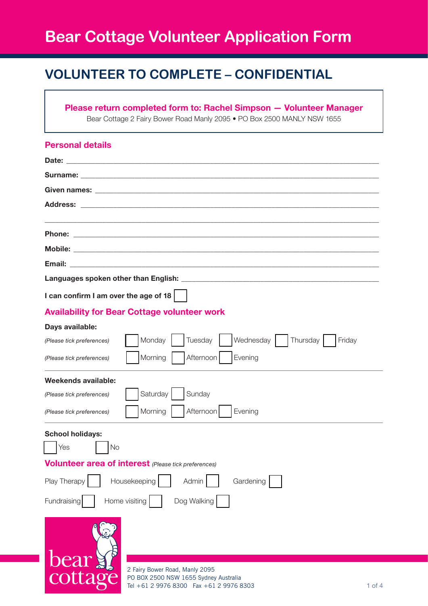# **Bear Cottage Volunteer Application Form**

# **VOLUNTEER TO COMPLETE – CONFIDENTIAL**

## **Please return completed form to: Rachel Simpson — Volunteer Manager** Bear Cottage 2 Fairy Bower Road Manly 2095 • PO Box 2500 MANLY NSW 1655

| <b>Personal details</b>                                                          |
|----------------------------------------------------------------------------------|
|                                                                                  |
| <b>Surname: Example 2018</b>                                                     |
|                                                                                  |
|                                                                                  |
| <b>Phone:</b>                                                                    |
|                                                                                  |
|                                                                                  |
|                                                                                  |
| I can confirm I am over the age of 18                                            |
| <b>Availability for Bear Cottage volunteer work</b>                              |
| Days available:                                                                  |
| Monday<br>Tuesday<br>Wednesday   Thursday<br>Friday<br>(Please tick preferences) |
| Morning<br>Afternoon<br>Evening<br>(Please tick preferences)                     |
| Weekends available:                                                              |
| Saturday<br>Sunday<br>(Please tick preferences)                                  |
| Morning<br>Afternoon<br>Evening<br>(Please tick preferences)                     |
| <b>School holidays:</b>                                                          |
| Yes<br>No                                                                        |
| <b>Volunteer area of interest</b> (Please tick preferences)                      |
| Play Therapy<br>Housekeeping<br>Gardening<br>Admin                               |
| Home visiting<br>Dog Walking<br>Fundraising                                      |
| bear!<br>2 Fairy Bower Road, Manly 2095                                          |
| cottage<br>PO BOX 2500 NSW 1655 Sydney Australia                                 |

Tel +61 2 9976 8300 Fax +61 2 9976 8303

1 of 4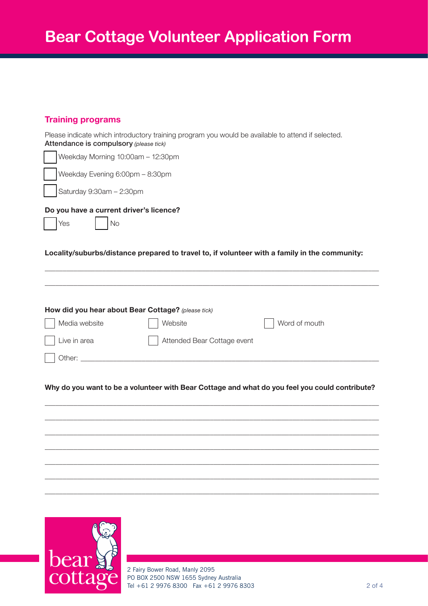## **Training programs**

| Attendance is compulsory (please tick)                      | Please indicate which introductory training program you would be available to attend if selected. |
|-------------------------------------------------------------|---------------------------------------------------------------------------------------------------|
| Weekday Morning 10:00am - 12:30pm                           |                                                                                                   |
| Weekday Evening 6:00pm - 8:30pm                             |                                                                                                   |
| Saturday 9:30am - 2:30pm                                    |                                                                                                   |
| Do you have a current driver's licence?<br><b>No</b><br>Yes |                                                                                                   |
|                                                             | Locality/suburbs/distance prepared to travel to, if volunteer with a family in the community:     |
|                                                             |                                                                                                   |
| How did you hear about Bear Cottage? (please tick)          |                                                                                                   |
| Media website                                               | Word of mouth<br>Website                                                                          |
| Live in area                                                | Attended Bear Cottage event                                                                       |
| Other:                                                      |                                                                                                   |
|                                                             |                                                                                                   |
|                                                             |                                                                                                   |
|                                                             | Why do you want to be a volunteer with Bear Cottage and what do you feel you could contribute?    |
|                                                             |                                                                                                   |
|                                                             |                                                                                                   |
|                                                             |                                                                                                   |
|                                                             |                                                                                                   |

 $\_$  ,  $\_$  ,  $\_$  ,  $\_$  ,  $\_$  ,  $\_$  ,  $\_$  ,  $\_$  ,  $\_$  ,  $\_$  ,  $\_$  ,  $\_$  ,  $\_$  ,  $\_$  ,  $\_$  ,  $\_$  ,  $\_$  ,  $\_$  ,  $\_$  ,  $\_$  ,  $\_$  ,  $\_$  ,  $\_$  ,  $\_$  ,  $\_$  ,  $\_$  ,  $\_$  ,  $\_$  ,  $\_$  ,  $\_$  ,  $\_$  ,  $\_$  ,  $\_$  ,  $\_$  ,  $\_$  ,  $\_$  ,  $\_$  ,



2 Fairy Bower Road, Manly 2095 PO BOX 2500 NSW 1655 Sydney Australia Tel +61 2 9976 8300 Fax +61 2 9976 8303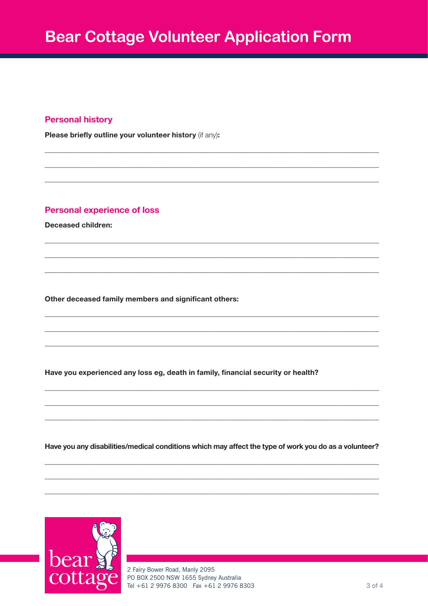#### **Personal history**

Please briefly outline your volunteer history (if any):

#### **Personal experience of loss**

**Deceased children:** 

Other deceased family members and significant others:

Have you experienced any loss eg, death in family, financial security or health?

Have you any disabilities/medical conditions which may affect the type of work you do as a volunteer?



2 Fairy Bower Road, Manly 2095 PO BOX 2500 NSW 1655 Sydney Australia Tel +61 2 9976 8300 Fax +61 2 9976 8303